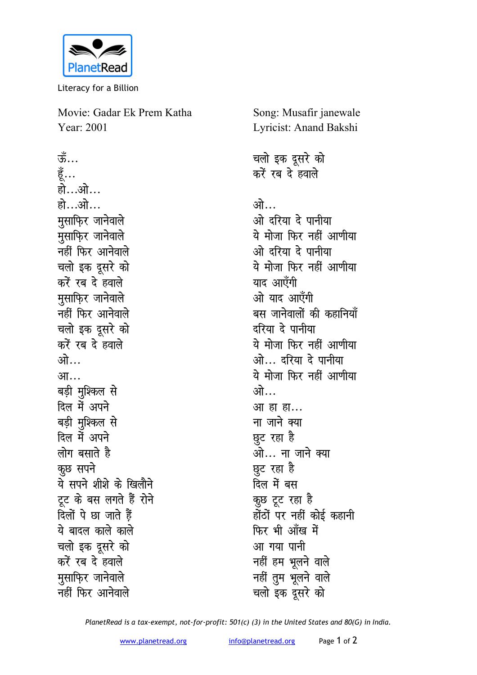

Literacy for a Billion

Movie: Gadar Ek Prem Katha Year: 2001

ऊँ... हूँ... हो…ओ… हो...ओ... मुसाफि़र जानेवाले मुसाफि़र जानेवाले नहीं फिर आनेवाले चलो इक दूसरे को करें रब दे हवाले मसाफिर जानेवाले नहीं फिर आनेवाले चलो इक दुसरे को करें रब दे हवाले ओ… **आ**… बड़ी मुश्किल से दिल में अपने बडी मुश्किल से दिल में अपने लोग बसाते है कुछ सपने ये सपने शीशे के खिलौने टूट के बस लगते हैं रोने दिलों पे छा जाते हैं ये बादल काले काले चलो इक दूसरे को करें रब दे हवाले मुसाफिर जानेवाले नहीं फिर आनेवाले

Song: Musafir janewale Lyricist: Anand Bakshi

चलो इक दूसरे को करें रब दे हवाले

ओ… ओ दरिया दे पानीया ये मोजा फिर नहीं आणीया ओ दरिया दे पानीया ये मोजा फिर नहीं आणीया याद आएँगी ओ याद आएँगी बस जानेवालों की कहानियाँ दरिया दे पानीया ये मोजा फिर नहीं आणीया ओ... दरिया दे पानीया ये मोजा फिर नहीं आणीया ओ… आ हा हा... ना जाने क्या छट रहा है ओ... ना जाने क्या छूट रहा है दिल में बस कुछ टूट रहा है होंठों पर नहीं कोई कहानी फिर भी आँख में आ गया पानी नहीं हम भूलने वाले नहीं तुम भूलने वाले चलो इक दूसरे को

PlanetRead is a tax-exempt, not-for-profit: 501(c) (3) in the United States and 80(G) in India.